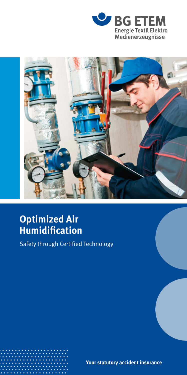



# **Optimized Air Humidification**

Safety through Certified Technology

**Your statutory accident insurance**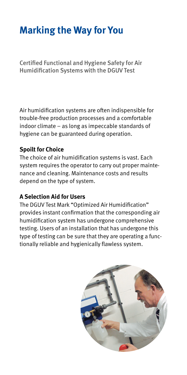# **Marking the Way for You**

Certified Functional and Hygiene Safety for Air Humidification Systems with the DGUV Test

Air humidification systems are often indispensible for trouble-free production processes and a comfortable indoor climate – as long as impeccable standards of hygiene can be guaranteed during operation.

### **Spoilt for Choice**

The choice of air humidification systems is vast. Each system requires the operator to carry out proper maintenance and cleaning. Maintenance costs and results depend on the type of system.

### **A Selection Aid for Users**

The DGUV Test Mark "Optimized Air Humidification" provides instant confirmation that the corresponding air humidification system has undergone comprehensive testing. Users of an installation that has undergone this type of testing can be sure that they are operating a functionally reliable and hygienically flawless system.

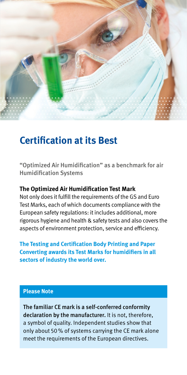

### **Certification at its Best**

"Optimized Air Humidification" as a benchmark for air Humidification Systems

#### **The Optimized Air Humidification Test Mark**

Not only does it fulfill the requirements of the GS and Euro Test Marks, each of which documents compliance with the European safety regulations: it includes additional, more rigorous hygiene and health & safety tests and also covers the aspects of environment protection, service and efficiency.

**The Testing and Certification Body Printing and Paper Converting awards its Test Marks for humidifiers in all sectors of industry the world over.**

### **Please Note**

The familiar CE mark is a self-conferred conformity declaration by the manufacturer. It is not, therefore, a symbol of quality. Independent studies show that only about 50% of systems carrying the CE mark alone meet the requirements of the European directives.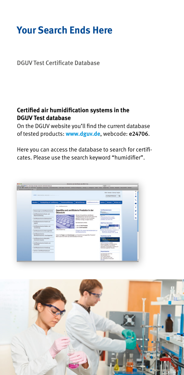### **Your Search Ends Here**

### DGUV Test Certificate Database

### **Certified air humidification systems in the DGUV Test database**

On the DGUV website you'll find the current database of tested products: **www.dguv.de**, webcode: e24706.

Here you can access the database to search for certificates. Please use the search keyword "humidifier".



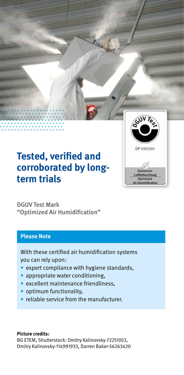

## **Tested, verified and corroborated by longterm trials**

DGUV Test Mark "Optimized Air Humidification"

#### **Please Note**

With these certified air humidification systems you can rely upon:

- expert compliance with hygiene standards,
- appropriate water conditioning,
- excellent maintenance friendliness,
- optimum functionality.
- reliable service from the manufacturer.

#### **Picture credits:**

BG ETEM, Shutterstock: Dmitry Kalinovsky-72251053, Dmitry Kalinovsky-114991933, Darren Baker-56263420